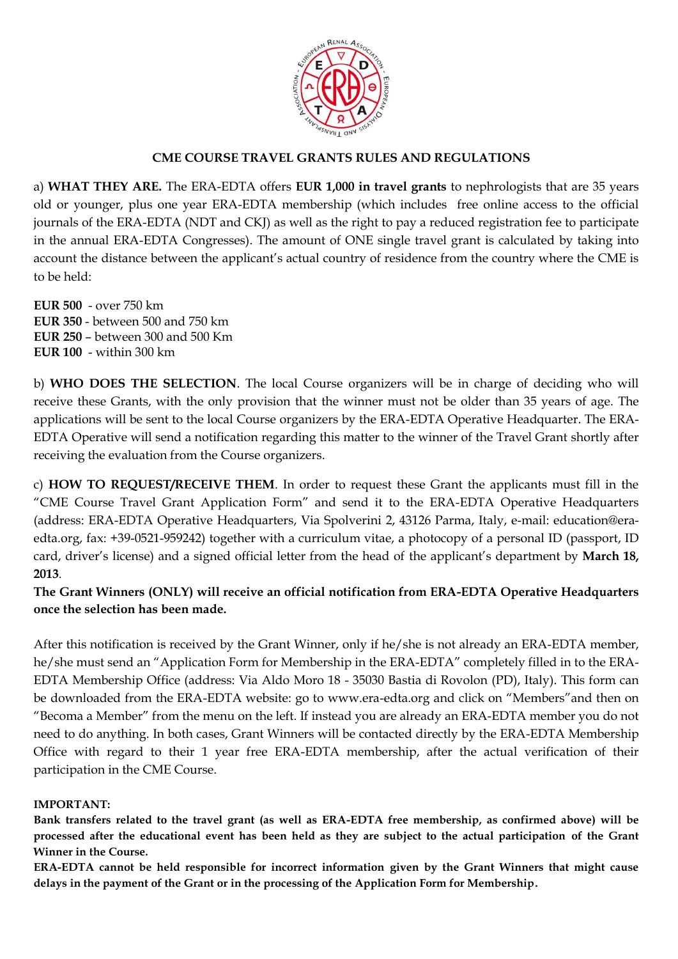

## **CME COURSE TRAVEL GRANTS RULES AND REGULATIONS**

a) **WHAT THEY ARE.** The ERA-EDTA offers **EUR 1,000 in travel grants** to nephrologists that are 35 years old or younger, plus one year ERA-EDTA membership (which includes free online access to the official journals of the ERA-EDTA (NDT and CKJ) as well as the right to pay a reduced registration fee to participate in the annual ERA-EDTA Congresses). The amount of ONE single travel grant is calculated by taking into account the distance between the applicant's actual country of residence from the country where the CME is to be held:

**EUR 500** - over 750 km **EUR 350** - between 500 and 750 km **EUR 250** – between 300 and 500 Km **EUR 100** - within 300 km

b) **WHO DOES THE SELECTION**. The local Course organizers will be in charge of deciding who will receive these Grants, with the only provision that the winner must not be older than 35 years of age. The applications will be sent to the local Course organizers by the ERA-EDTA Operative Headquarter. The ERA-EDTA Operative will send a notification regarding this matter to the winner of the Travel Grant shortly after receiving the evaluation from the Course organizers.

c) **HOW TO REQUEST/RECEIVE THEM**. In order to request these Grant the applicants must fill in the "CME Course Travel Grant Application Form" and send it to the ERA-EDTA Operative Headquarters (address: ERA-EDTA Operative Headquarters, Via Spolverini 2, 43126 Parma, Italy, e-mail: education@eraedta.org, fax: +39-0521-959242) together with a curriculum vitae, a photocopy of a personal ID (passport, ID card, driver's license) and a signed official letter from the head of the applicant's department by **March 18, 2013**.

**The Grant Winners (ONLY) will receive an official notification from ERA-EDTA Operative Headquarters once the selection has been made.** 

After this notification is received by the Grant Winner, only if he/she is not already an ERA-EDTA member, he/she must send an "Application Form for Membership in the ERA-EDTA" completely filled in to the ERA-EDTA Membership Office (address: Via Aldo Moro 18 - 35030 Bastia di Rovolon (PD), Italy). This form can be downloaded from the ERA-EDTA website: go to www.era-edta.org and click on "Members"and then on "Becoma a Member" from the menu on the left. If instead you are already an ERA-EDTA member you do not need to do anything. In both cases, Grant Winners will be contacted directly by the ERA-EDTA Membership Office with regard to their 1 year free ERA-EDTA membership, after the actual verification of their participation in the CME Course.

## **IMPORTANT:**

**Bank transfers related to the travel grant (as well as ERA-EDTA free membership, as confirmed above) will be processed after the educational event has been held as they are subject to the actual participation of the Grant Winner in the Course.**

**ERA-EDTA cannot be held responsible for incorrect information given by the Grant Winners that might cause delays in the payment of the Grant or in the processing of the Application Form for Membership.**